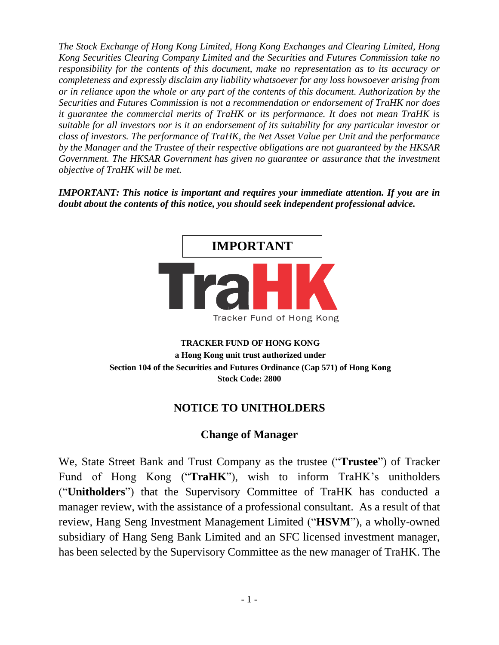*The Stock Exchange of Hong Kong Limited, Hong Kong Exchanges and Clearing Limited, Hong Kong Securities Clearing Company Limited and the Securities and Futures Commission take no responsibility for the contents of this document, make no representation as to its accuracy or completeness and expressly disclaim any liability whatsoever for any loss howsoever arising from or in reliance upon the whole or any part of the contents of this document. Authorization by the Securities and Futures Commission is not a recommendation or endorsement of TraHK nor does it guarantee the commercial merits of TraHK or its performance. It does not mean TraHK is suitable for all investors nor is it an endorsement of its suitability for any particular investor or class of investors. The performance of TraHK, the Net Asset Value per Unit and the performance by the Manager and the Trustee of their respective obligations are not guaranteed by the HKSAR Government. The HKSAR Government has given no guarantee or assurance that the investment objective of TraHK will be met.*

*IMPORTANT: This notice is important and requires your immediate attention. If you are in doubt about the contents of this notice, you should seek independent professional advice.*



## **TRACKER FUND OF HONG KONG a Hong Kong unit trust authorized under Section 104 of the Securities and Futures Ordinance (Cap 571) of Hong Kong Stock Code: 2800**

## **NOTICE TO UNITHOLDERS**

## **Change of Manager**

We, State Street Bank and Trust Company as the trustee ("**Trustee**") of Tracker Fund of Hong Kong ("**TraHK**"), wish to inform TraHK's unitholders ("**Unitholders**") that the Supervisory Committee of TraHK has conducted a manager review, with the assistance of a professional consultant. As a result of that review, Hang Seng Investment Management Limited ("**HSVM**"), a wholly-owned subsidiary of Hang Seng Bank Limited and an SFC licensed investment manager, has been selected by the Supervisory Committee as the new manager of TraHK. The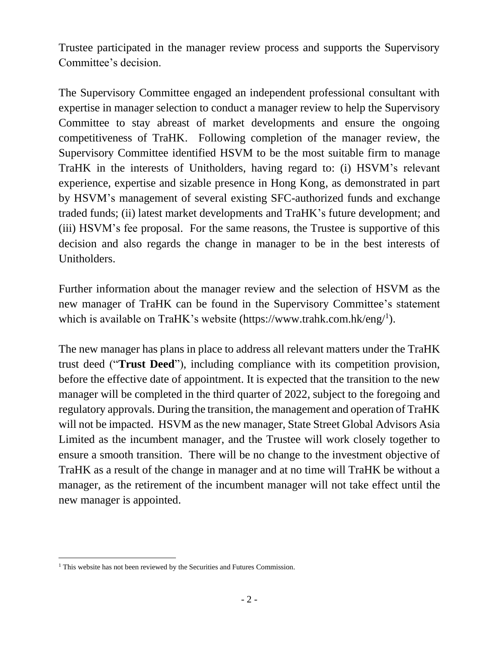Trustee participated in the manager review process and supports the Supervisory Committee's decision.

The Supervisory Committee engaged an independent professional consultant with expertise in manager selection to conduct a manager review to help the Supervisory Committee to stay abreast of market developments and ensure the ongoing competitiveness of TraHK. Following completion of the manager review, the Supervisory Committee identified HSVM to be the most suitable firm to manage TraHK in the interests of Unitholders, having regard to: (i) HSVM's relevant experience, expertise and sizable presence in Hong Kong, as demonstrated in part by HSVM's management of several existing SFC-authorized funds and exchange traded funds; (ii) latest market developments and TraHK's future development; and (iii) HSVM's fee proposal. For the same reasons, the Trustee is supportive of this decision and also regards the change in manager to be in the best interests of Unitholders.

Further information about the manager review and the selection of HSVM as the new manager of TraHK can be found in the Supervisory Committee's statement which is available on TraHK's website (https://www.trahk.com.hk/eng/<sup>1</sup>).

The new manager has plans in place to address all relevant matters under the TraHK trust deed ("**Trust Deed**"), including compliance with its competition provision, before the effective date of appointment. It is expected that the transition to the new manager will be completed in the third quarter of 2022, subject to the foregoing and regulatory approvals. During the transition, the management and operation of TraHK will not be impacted. HSVM as the new manager, State Street Global Advisors Asia Limited as the incumbent manager, and the Trustee will work closely together to ensure a smooth transition. There will be no change to the investment objective of TraHK as a result of the change in manager and at no time will TraHK be without a manager, as the retirement of the incumbent manager will not take effect until the new manager is appointed.

<sup>&</sup>lt;sup>1</sup> This website has not been reviewed by the Securities and Futures Commission.